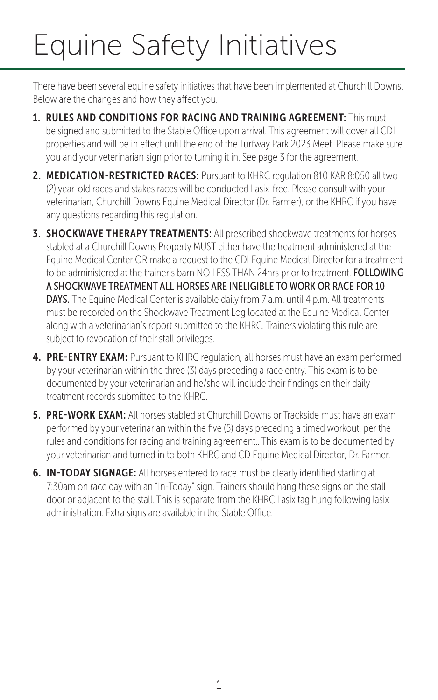# Equine Safety Initiatives

There have been several equine safety initiatives that have been implemented at Churchill Downs. Below are the changes and how they affect you.

- 1. RULES AND CONDITIONS FOR RACING AND TRAINING AGREEMENT: This must be signed and submitted to the Stable Office upon arrival. This agreement will cover all CDI properties and will be in effect until the end of the Turfway Park 2023 Meet. Please make sure you and your veterinarian sign prior to turning it in. See page 3 for the agreement.
- 2. MEDICATION-RESTRICTED RACES: Pursuant to KHRC regulation 810 KAR 8:050 all two (2) year-old races and stakes races will be conducted Lasix-free. Please consult with your veterinarian, Churchill Downs Equine Medical Director (Dr. Farmer), or the KHRC if you have any questions regarding this regulation.
- **3. SHOCKWAVE THERAPY TREATMENTS:** All prescribed shockwave treatments for horses stabled at a Churchill Downs Property MUST either have the treatment administered at the Equine Medical Center OR make a request to the CDI Equine Medical Director for a treatment to be administered at the trainer's barn NO LESS THAN 24hrs prior to treatment. FOLLOWING A SHOCKWAVE TREATMENT ALL HORSES ARE INELIGIBLE TO WORK OR RACE FOR 10 DAYS. The Equine Medical Center is available daily from 7 a.m. until 4 p.m. All treatments must be recorded on the Shockwave Treatment Log located at the Equine Medical Center along with a veterinarian's report submitted to the KHRC. Trainers violating this rule are subject to revocation of their stall privileges.
- 4. PRE-ENTRY EXAM: Pursuant to KHRC regulation, all horses must have an exam performed by your veterinarian within the three (3) days preceding a race entry. This exam is to be documented by your veterinarian and he/she will include their findings on their daily treatment records submitted to the KHRC.
- **5. PRE-WORK EXAM:** All horses stabled at Churchill Downs or Trackside must have an exam performed by your veterinarian within the five (5) days preceding a timed workout, per the rules and conditions for racing and training agreement.. This exam is to be documented by your veterinarian and turned in to both KHRC and CD Equine Medical Director, Dr. Farmer.
- 6. IN-TODAY SIGNAGE: All horses entered to race must be clearly identified starting at 7:30am on race day with an "In-Today" sign. Trainers should hang these signs on the stall door or adjacent to the stall. This is separate from the KHRC Lasix tag hung following lasix administration. Extra signs are available in the Stable Office.